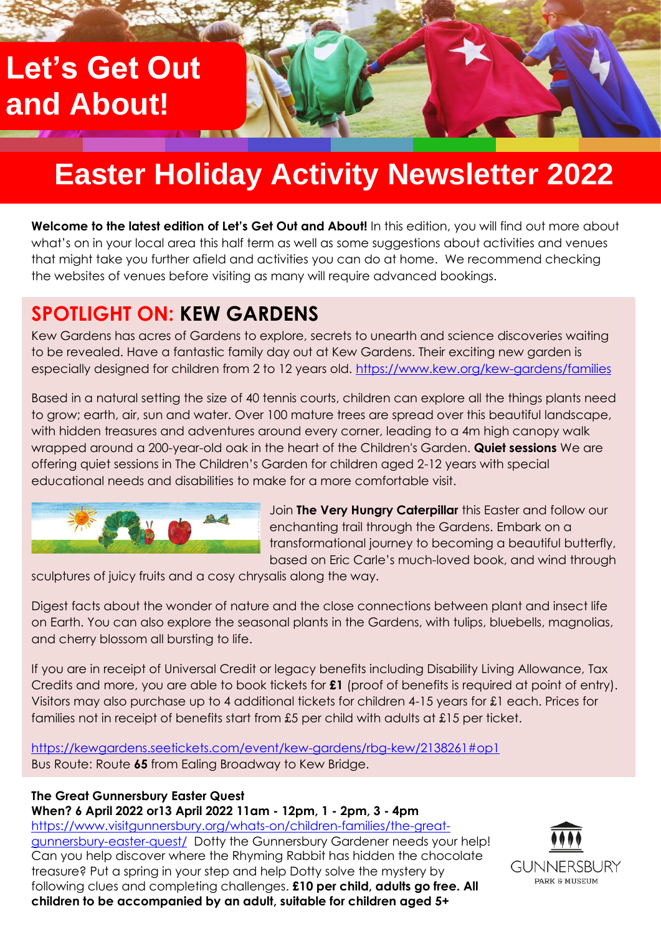## **Let's Get Out and About!**

# **Easter Holiday Activity Newsletter 2022**

**Welcome to the latest edition of Let's Get Out and About!** In this edition, you will find out more about what's on in your local area this half term as well as some suggestions about activities and venues that might take you further afield and activities you can do at home. We recommend checking the websites of venues before visiting as many will require advanced bookings.

## **SPOTLIGHT ON: KEW GARDENS**

Kew Gardens has acres of Gardens to explore, secrets to unearth and science discoveries waiting to be revealed. Have a fantastic family day out at Kew Gardens. Their exciting new garden is especially designed for children from 2 to 12 years old.<https://www.kew.org/kew-gardens/families>

Based in a natural setting the size of 40 tennis courts, children can explore all the things plants need to grow; earth, air, sun and water. Over 100 mature trees are spread over this beautiful landscape, with hidden treasures and adventures around every corner, leading to a 4m high canopy walk wrapped around a 200-year-old oak in the heart of the Children's Garden. **Quiet sessions** We are offering quiet sessions in The Children's Garden for children aged 2-12 years with special educational needs and disabilities to make for a more comfortable visit.



Join **The Very Hungry Caterpillar** this Easter and follow our enchanting trail through the Gardens. Embark on a transformational journey to becoming a beautiful butterfly, based on Eric Carle's much-loved book, and wind through

sculptures of juicy fruits and a cosy chrysalis along the way.

Digest facts about the wonder of nature and the close connections between plant and insect life on Earth. You can also explore the seasonal plants in the Gardens, with tulips, bluebells, magnolias, and cherry blossom all bursting to life.

If you are in receipt of Universal Credit or legacy benefits including Disability Living Allowance, Tax Credits and more, you are able to book tickets for **£1** (proof of benefits is required at point of entry). Visitors may also purchase up to 4 additional tickets for children 4-15 years for £1 each. Prices for families not in receipt of benefits start from £5 per child with adults at £15 per ticket.

<https://kewgardens.seetickets.com/event/kew-gardens/rbg-kew/2138261#op1> Bus Route: Route **65** from Ealing Broadway to Kew Bridge.

### **The Great Gunnersbury Easter Quest**

**When? 6 April 2022 or13 April 2022 11am - 12pm, 1 - 2pm, 3 - 4pm**

[https://www.visitgunnersbury.org/whats-on/children-families/the-great](https://www.visitgunnersbury.org/whats-on/children-families/the-great-gunnersbury-easter-quest/)[gunnersbury-easter-quest/](https://www.visitgunnersbury.org/whats-on/children-families/the-great-gunnersbury-easter-quest/)Dotty the Gunnersbury Gardener needs your help! Can you help discover where the Rhyming Rabbit has hidden the chocolate treasure? Put a spring in your step and help Dotty solve the mystery by following clues and completing challenges. **£10 per child, adults go free. All children to be accompanied by an adult, suitable for children aged 5+**